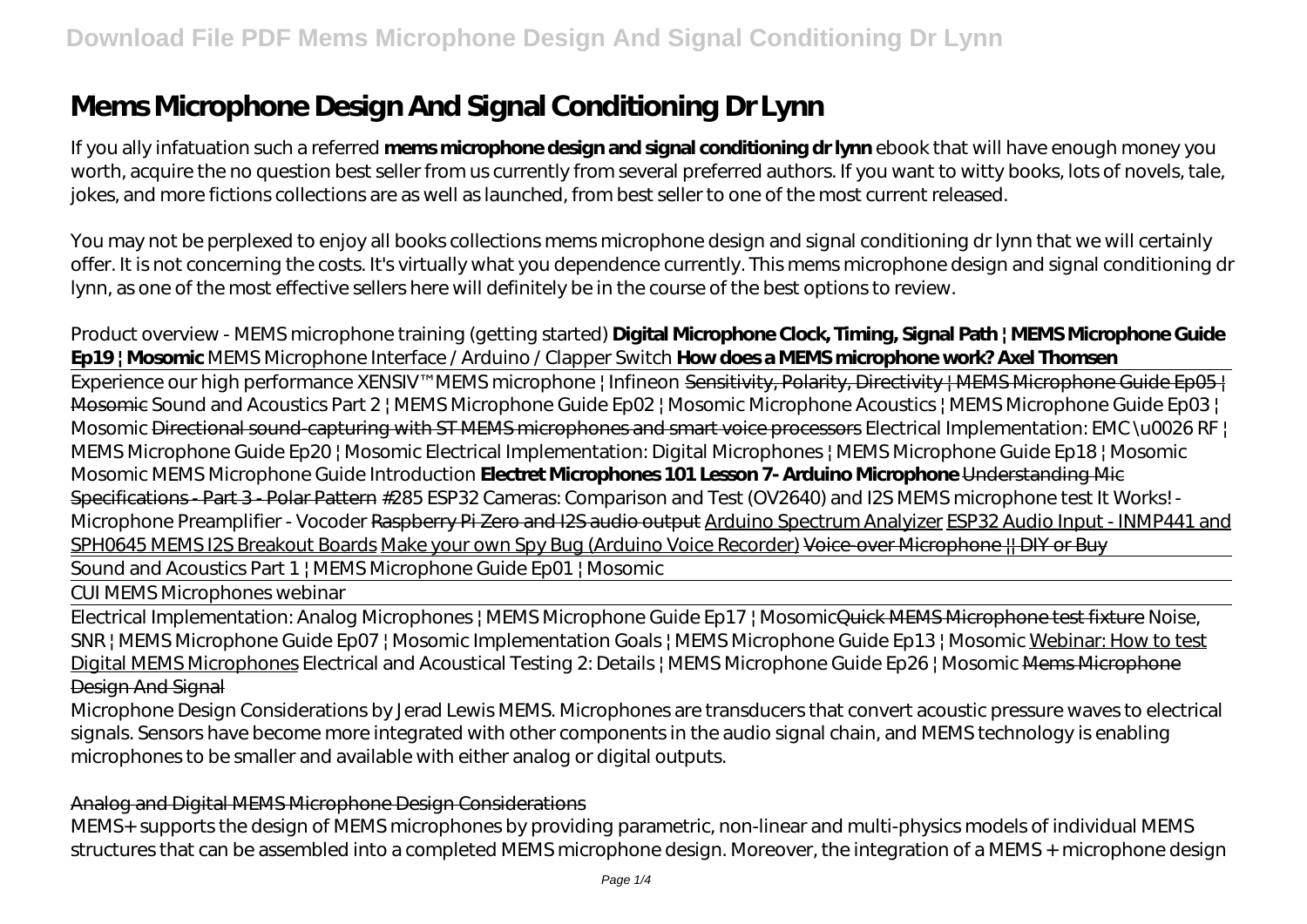# **Mems Microphone Design And Signal Conditioning Dr Lynn**

If you ally infatuation such a referred **mems microphone design and signal conditioning dr lynn** ebook that will have enough money you worth, acquire the no question best seller from us currently from several preferred authors. If you want to witty books, lots of novels, tale, jokes, and more fictions collections are as well as launched, from best seller to one of the most current released.

You may not be perplexed to enjoy all books collections mems microphone design and signal conditioning dr lynn that we will certainly offer. It is not concerning the costs. It's virtually what you dependence currently. This mems microphone design and signal conditioning dr lynn, as one of the most effective sellers here will definitely be in the course of the best options to review.

# Product overview - MEMS microphone training (getting started) **Digital Microphone Clock, Timing, Signal Path | MEMS Microphone Guide Ep19 | Mosomic** *MEMS Microphone Interface / Arduino / Clapper Switch* **How does a MEMS microphone work? Axel Thomsen**

Experience our high performance XENSIV™MEMS microphone | Infineon Sensitivity, Polarity, Directivity | MEMS Microphone Guide Ep05 | Mosomic *Sound and Acoustics Part 2 | MEMS Microphone Guide Ep02 | Mosomic Microphone Acoustics | MEMS Microphone Guide Ep03 | Mosomic* Directional sound-capturing with ST MEMS microphones and smart voice processors Electrical Implementation: EMC \u0026 RF | MEMS Microphone Guide Ep20 | Mosomic Electrical Implementation: Digital Microphones | MEMS Microphone Guide Ep18 | Mosomic Mosomic MEMS Microphone Guide Introduction **Electret Microphones 101 Lesson 7- Arduino Microphone** Understanding Mic Specifications - Part 3 - Polar Pattern *#285 ESP32 Cameras: Comparison and Test (OV2640) and I2S MEMS microphone test* It Works! - Microphone Preamplifier - Vocoder Raspberry Pi Zero and I2S audio output Arduino Spectrum Analyizer ESP32 Audio Input - INMP441 and SPH0645 MEMS I2S Breakout Boards Make your own Spy Bug (Arduino Voice Recorder) Voice-over Microphone || DIY or Buy Sound and Acoustics Part 1 | MEMS Microphone Guide Ep01 | Mosomic

CUI MEMS Microphones webinar

Electrical Implementation: Analog Microphones | MEMS Microphone Guide Ep17 | MosomicQuick MEMS Microphone test fixture *Noise, SNR | MEMS Microphone Guide Ep07 | Mosomic Implementation Goals | MEMS Microphone Guide Ep13 | Mosomic* Webinar: How to test Digital MEMS Microphones Electrical and Acoustical Testing 2: Details | MEMS Microphone Guide Ep26 | Mosomic <del>Mems Microphone</del> Design And Signal

Microphone Design Considerations by Jerad Lewis MEMS. Microphones are transducers that convert acoustic pressure waves to electrical signals. Sensors have become more integrated with other components in the audio signal chain, and MEMS technology is enabling microphones to be smaller and available with either analog or digital outputs.

# Analog and Digital MEMS Microphone Design Considerations

MEMS+ supports the design of MEMS microphones by providing parametric, non-linear and multi-physics models of individual MEMS structures that can be assembled into a completed MEMS microphone design. Moreover, the integration of a MEMS + microphone design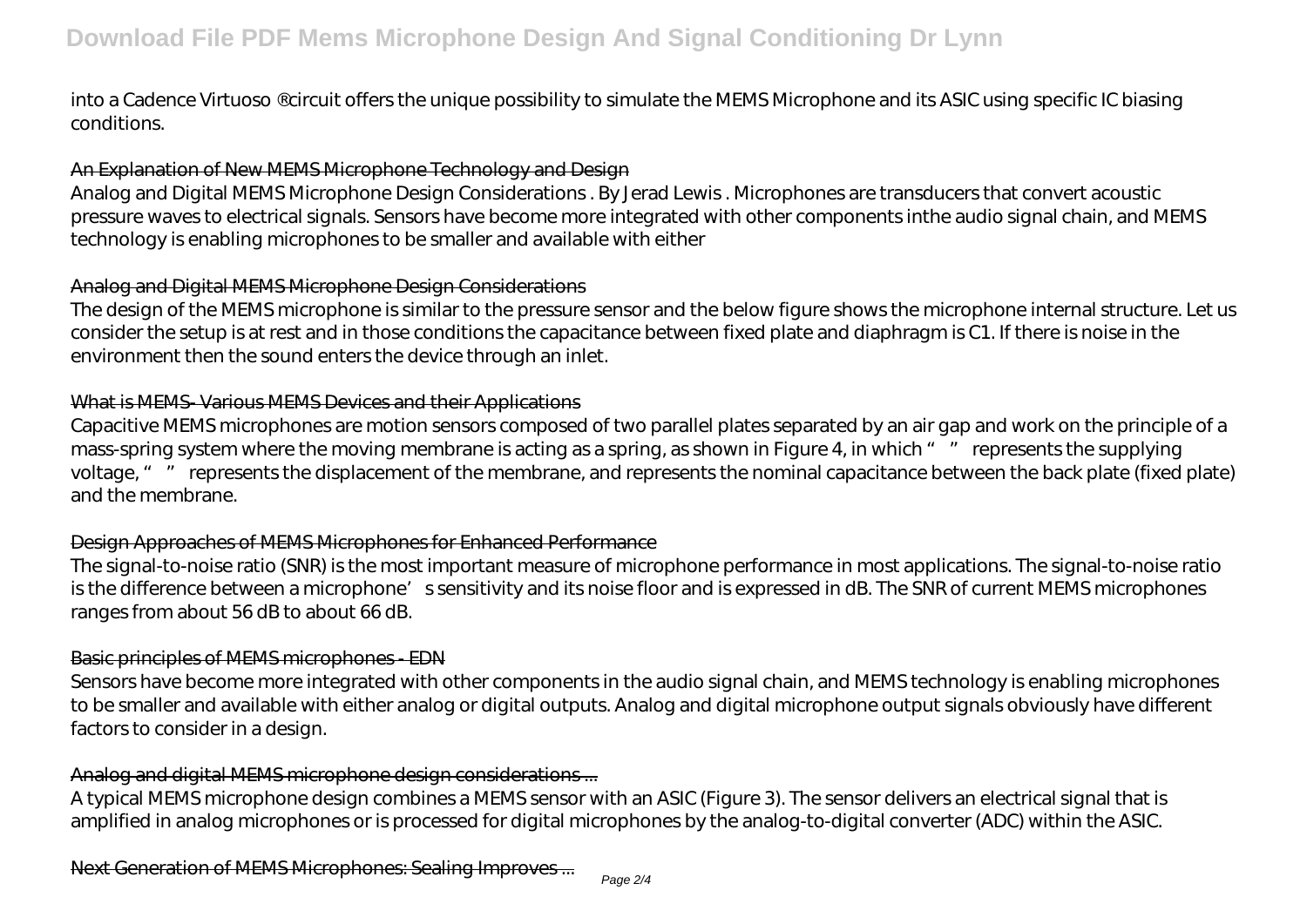into a Cadence Virtuoso ® circuit offers the unique possibility to simulate the MEMS Microphone and its ASIC using specific IC biasing conditions.

#### An Explanation of New MEMS Microphone Technology and Design

Analog and Digital MEMS Microphone Design Considerations . By Jerad Lewis . Microphones are transducers that convert acoustic pressure waves to electrical signals. Sensors have become more integrated with other components inthe audio signal chain, and MEMS technology is enabling microphones to be smaller and available with either

#### Analog and Digital MEMS Microphone Design Considerations

The design of the MEMS microphone is similar to the pressure sensor and the below figure shows the microphone internal structure. Let us consider the setup is at rest and in those conditions the capacitance between fixed plate and diaphragm is C1. If there is noise in the environment then the sound enters the device through an inlet.

#### What is MEMS- Various MEMS Devices and their Applications

Capacitive MEMS microphones are motion sensors composed of two parallel plates separated by an air gap and work on the principle of a mass-spring system where the moving membrane is acting as a spring, as shown in Figure 4, in which " " represents the supplying voltage, " " represents the displacement of the membrane, and represents the nominal capacitance between the back plate (fixed plate) and the membrane.

# Design Approaches of MEMS Microphones for Enhanced Performance

The signal-to-noise ratio (SNR) is the most important measure of microphone performance in most applications. The signal-to-noise ratio is the difference between a microphone's sensitivity and its noise floor and is expressed in dB. The SNR of current MEMS microphones ranges from about 56 dB to about 66 dB.

# Basic principles of MEMS microphones - EDN

Sensors have become more integrated with other components in the audio signal chain, and MEMS technology is enabling microphones to be smaller and available with either analog or digital outputs. Analog and digital microphone output signals obviously have different factors to consider in a design.

# Analog and digital MEMS microphone design considerations ...

A typical MEMS microphone design combines a MEMS sensor with an ASIC (Figure 3). The sensor delivers an electrical signal that is amplified in analog microphones or is processed for digital microphones by the analog-to-digital converter (ADC) within the ASIC.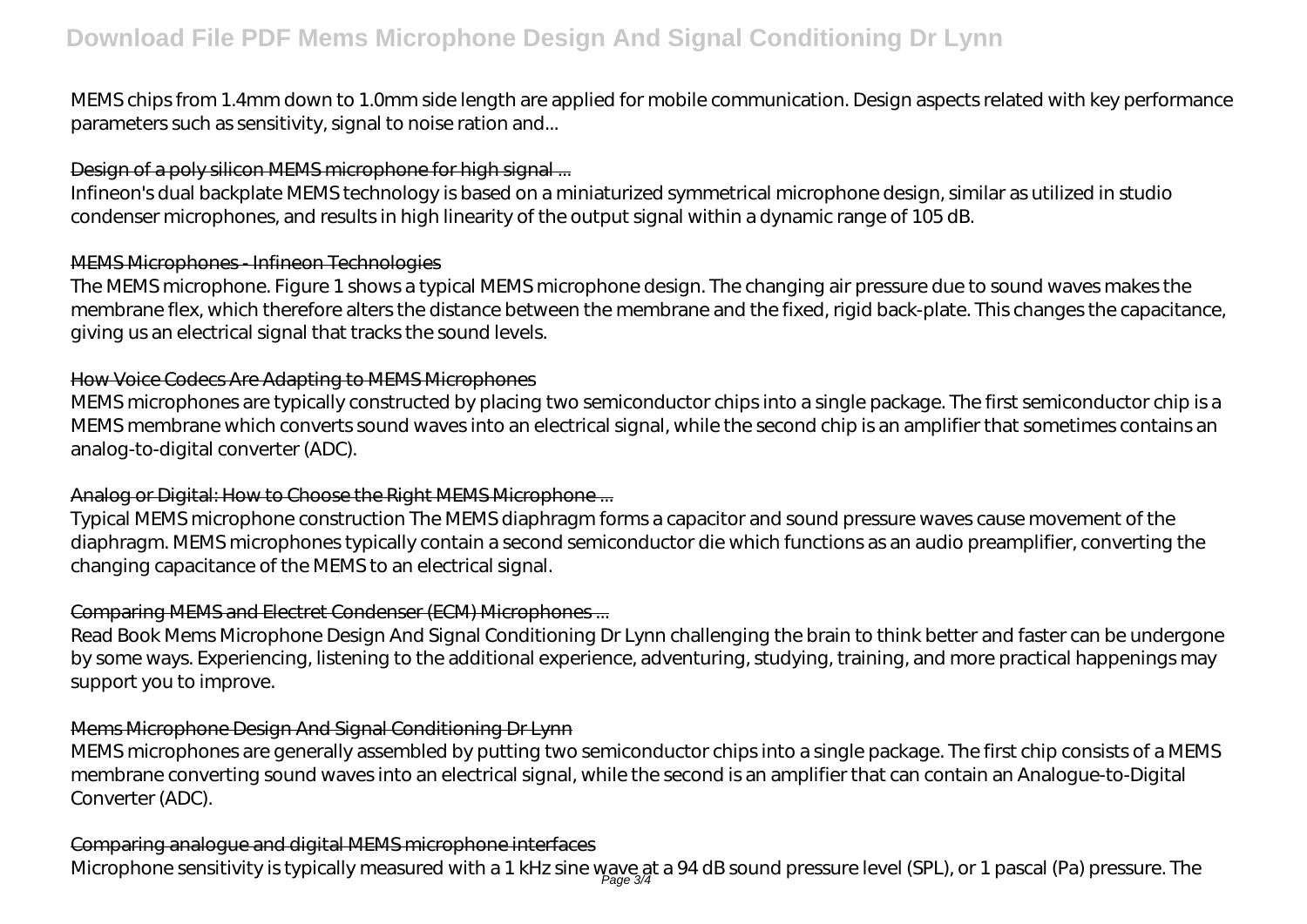# **Download File PDF Mems Microphone Design And Signal Conditioning Dr Lynn**

MEMS chips from 1.4mm down to 1.0mm side length are applied for mobile communication. Design aspects related with key performance parameters such as sensitivity, signal to noise ration and...

#### Design of a poly silicon MEMS microphone for high signal ...

Infineon's dual backplate MEMS technology is based on a miniaturized symmetrical microphone design, similar as utilized in studio condenser microphones, and results in high linearity of the output signal within a dynamic range of 105 dB.

#### MEMS Microphones - Infineon Technologies

The MEMS microphone. Figure 1 shows a typical MEMS microphone design. The changing air pressure due to sound waves makes the membrane flex, which therefore alters the distance between the membrane and the fixed, rigid back-plate. This changes the capacitance, giving us an electrical signal that tracks the sound levels.

# How Voice Codecs Are Adapting to MEMS Microphones

MEMS microphones are typically constructed by placing two semiconductor chips into a single package. The first semiconductor chip is a MEMS membrane which converts sound waves into an electrical signal, while the second chip is an amplifier that sometimes contains an analog-to-digital converter (ADC).

# Analog or Digital: How to Choose the Right MEMS Microphone ...

Typical MEMS microphone construction The MEMS diaphragm forms a capacitor and sound pressure waves cause movement of the diaphragm. MEMS microphones typically contain a second semiconductor die which functions as an audio preamplifier, converting the changing capacitance of the MEMS to an electrical signal.

# Comparing MEMS and Electret Condenser (ECM) Microphones ...

Read Book Mems Microphone Design And Signal Conditioning Dr Lynn challenging the brain to think better and faster can be undergone by some ways. Experiencing, listening to the additional experience, adventuring, studying, training, and more practical happenings may support you to improve.

# Mems Microphone Design And Signal Conditioning Dr Lynn

MEMS microphones are generally assembled by putting two semiconductor chips into a single package. The first chip consists of a MEMS membrane converting sound waves into an electrical signal, while the second is an amplifier that can contain an Analogue-to-Digital Converter (ADC).

# Comparing analogue and digital MEMS microphone interfaces

Microphone sensitivity is typically measured with a 1 kHz sine wave at a 94 dB sound pressure level (SPL), or 1 pascal (Pa) pressure. The